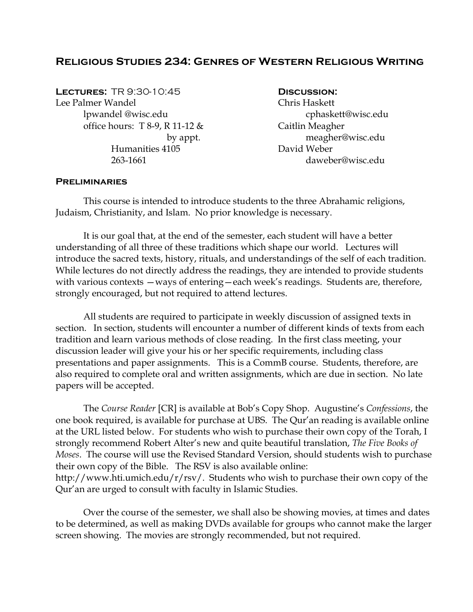# **Religious Studies 234: Genres of Western Religious Writing**

**Lectures:** TR 9:30-10:45 **Discussion:**  Lee Palmer Wandel Chris Haskett lpwandel @wisc.edu cphaskett@wisc.edu office hours:  $T \& 8-9$ ,  $R \& 11-12 \&$  Caitlin Meagher Humanities 4105 David Weber

by appt. meagher@wisc.edu 263-1661 daweber@wisc.edu

#### **Preliminaries**

 This course is intended to introduce students to the three Abrahamic religions, Judaism, Christianity, and Islam. No prior knowledge is necessary.

 It is our goal that, at the end of the semester, each student will have a better understanding of all three of these traditions which shape our world. Lectures will introduce the sacred texts, history, rituals, and understandings of the self of each tradition. While lectures do not directly address the readings, they are intended to provide students with various contexts — ways of entering—each week's readings. Students are, therefore, strongly encouraged, but not required to attend lectures.

 All students are required to participate in weekly discussion of assigned texts in section. In section, students will encounter a number of different kinds of texts from each tradition and learn various methods of close reading. In the first class meeting, your discussion leader will give your his or her specific requirements, including class presentations and paper assignments. This is a CommB course. Students, therefore, are also required to complete oral and written assignments, which are due in section. No late papers will be accepted.

 The *Course Reader* [CR] is available at Bob's Copy Shop. Augustine's *Confessions*, the one book required, is available for purchase at UBS. The Qur'an reading is available online at the URL listed below. For students who wish to purchase their own copy of the Torah, I strongly recommend Robert Alter's new and quite beautiful translation, *The Five Books of Moses*. The course will use the Revised Standard Version, should students wish to purchase their own copy of the Bible. The RSV is also available online: http://www.hti.umich.edu/r/rsv/. Students who wish to purchase their own copy of the Qur'an are urged to consult with faculty in Islamic Studies.

Over the course of the semester, we shall also be showing movies, at times and dates to be determined, as well as making DVDs available for groups who cannot make the larger screen showing. The movies are strongly recommended, but not required.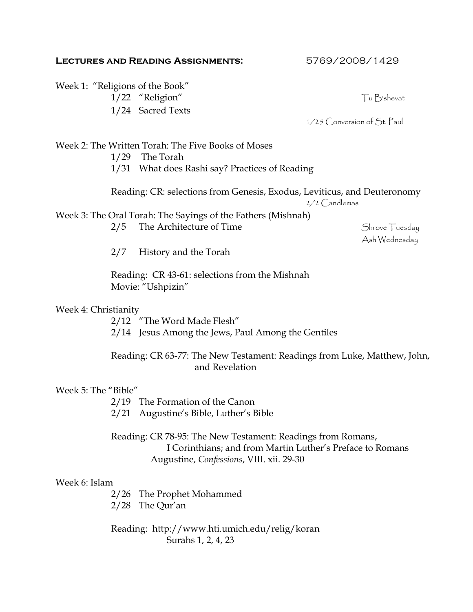## **Lectures and Reading Assignments:** 5769/2008/1429

|                                                                                                                        | Week 1: "Religions of the Book"                                                                                                                                      |                                 |
|------------------------------------------------------------------------------------------------------------------------|----------------------------------------------------------------------------------------------------------------------------------------------------------------------|---------------------------------|
|                                                                                                                        | 1/22 "Religion"                                                                                                                                                      | Tu B'shevat                     |
|                                                                                                                        | 1/24 Sacred Texts                                                                                                                                                    | $1/25$ Conversion of St. Paul   |
| Week 2: The Written Torah: The Five Books of Moses<br>1/29 The Torah<br>1/31 What does Rashi say? Practices of Reading |                                                                                                                                                                      |                                 |
|                                                                                                                        |                                                                                                                                                                      |                                 |
|                                                                                                                        | Reading: CR: selections from Genesis, Exodus, Leviticus, and Deuteronomy                                                                                             | $2/2$ $C$ and lemas             |
|                                                                                                                        | Week 3: The Oral Torah: The Sayings of the Fathers (Mishnah)<br>The Architecture of Time<br>2/5                                                                      | Shrove Tuesday<br>Ash Wednesday |
|                                                                                                                        | 2/7<br>History and the Torah                                                                                                                                         |                                 |
|                                                                                                                        | Reading: CR 43-61: selections from the Mishnah<br>Movie: "Ushpizin"                                                                                                  |                                 |
| Week 4: Christianity                                                                                                   |                                                                                                                                                                      |                                 |
|                                                                                                                        | 2/12 "The Word Made Flesh"<br>2/14 Jesus Among the Jews, Paul Among the Gentiles                                                                                     |                                 |
|                                                                                                                        | Reading: CR 63-77: The New Testament: Readings from Luke, Matthew, John,<br>and Revelation                                                                           |                                 |
| Week 5: The "Bible"                                                                                                    |                                                                                                                                                                      |                                 |
|                                                                                                                        | 2/19 The Formation of the Canon<br>2/21 Augustine's Bible, Luther's Bible                                                                                            |                                 |
|                                                                                                                        | Reading: CR 78-95: The New Testament: Readings from Romans,<br>I Corinthians; and from Martin Luther's Preface to Romans<br>Augustine, Confessions, VIII. xii. 29-30 |                                 |
| Week 6: Islam                                                                                                          |                                                                                                                                                                      |                                 |
|                                                                                                                        | 2/26 The Prophet Mohammed<br>$2/28$ The Qur'an                                                                                                                       |                                 |
| Reading: http://www.hti.umich.edu/relig/koran<br>Surahs 1, 2, 4, 23                                                    |                                                                                                                                                                      |                                 |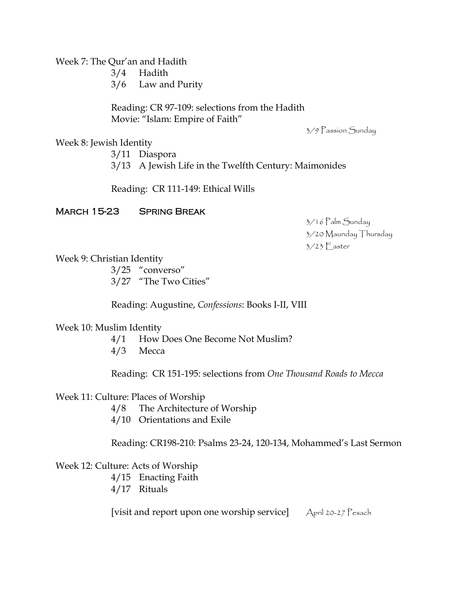Week 7: The Qur'an and Hadith

3/4 Hadith

3/6 Law and Purity

Reading: CR 97-109: selections from the Hadith Movie: "Islam: Empire of Faith"

3/9 Passion Sunday

Week 8: Jewish Identity

3/11 Diaspora 3/13 A Jewish Life in the Twelfth Century: Maimonides

Reading: CR 111-149: Ethical Wills

## March 15-23 Spring Break

 3/16 Palm Sunday 3/20 Maunday Thursday 3/23 Easter

Week 9: Christian Identity

3/25 "converso" 3/27 "The Two Cities"

Reading: Augustine, *Confessions*: Books I-II, VIII

Week 10: Muslim Identity

4/1 How Does One Become Not Muslim?

4/3 Mecca

Reading: CR 151-195: selections from *One Thousand Roads to Mecca*

### Week 11: Culture: Places of Worship

- 4/8 The Architecture of Worship
- 4/10 Orientations and Exile

Reading: CR198-210: Psalms 23-24, 120-134, Mohammed's Last Sermon

## Week 12: Culture: Acts of Worship

- 4/15 Enacting Faith
- 4/17 Rituals

[visit and report upon one worship service] April 20-27 Pesach